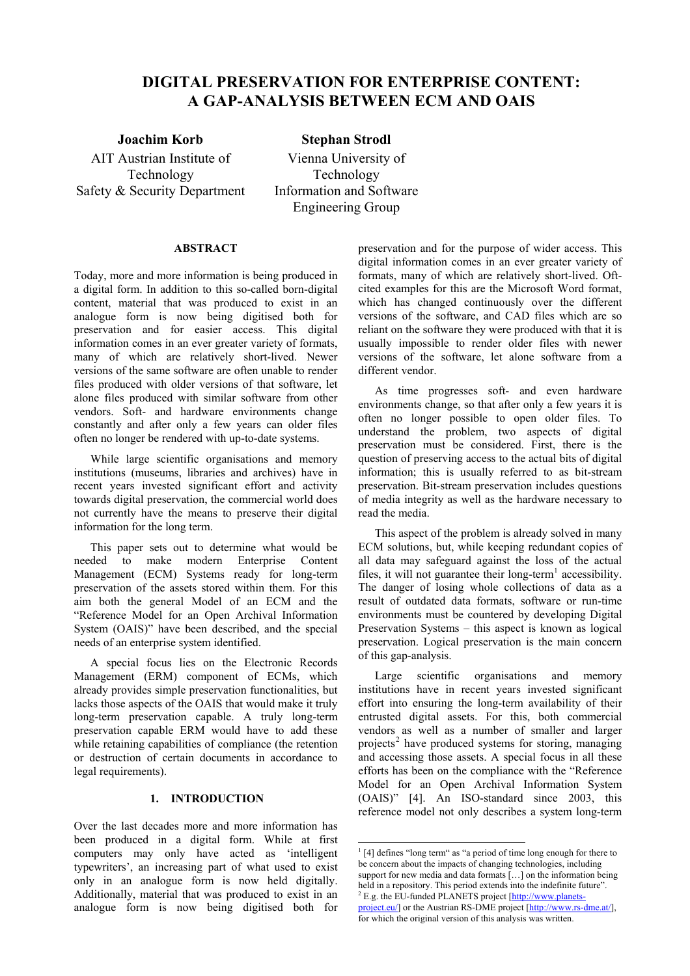# **DIGITAL PRESERVATION FOR ENTERPRISE CONTENT: A GAP-ANALYSIS BETWEEN ECM AND OAIS**

AIT Austrian Institute of Technology Safety & Security Department

# **Joachim Korb Stephan Strodl**

Vienna University of Technology Information and Software Engineering Group

# **ABSTRACT**

Today, more and more information is being produced in a digital form. In addition to this so-called born-digital content, material that was produced to exist in an analogue form is now being digitised both for preservation and for easier access. This digital information comes in an ever greater variety of formats, many of which are relatively short-lived. Newer versions of the same software are often unable to render files produced with older versions of that software, let alone files produced with similar software from other vendors. Soft- and hardware environments change constantly and after only a few years can older files often no longer be rendered with up-to-date systems.

While large scientific organisations and memory institutions (museums, libraries and archives) have in recent years invested significant effort and activity towards digital preservation, the commercial world does not currently have the means to preserve their digital information for the long term.

This paper sets out to determine what would be needed to make modern Enterprise Content Management (ECM) Systems ready for long-term preservation of the assets stored within them. For this aim both the general Model of an ECM and the "Reference Model for an Open Archival Information System (OAIS)" have been described, and the special needs of an enterprise system identified.

A special focus lies on the Electronic Records Management (ERM) component of ECMs, which already provides simple preservation functionalities, but lacks those aspects of the OAIS that would make it truly long-term preservation capable. A truly long-term preservation capable ERM would have to add these while retaining capabilities of compliance (the retention or destruction of certain documents in accordance to legal requirements).

# **1. INTRODUCTION**

<span id="page-0-1"></span><span id="page-0-0"></span>Over the last decades more and more information has been produced in a digital form. While at first computers may only have acted as 'intelligent typewriters', an increasing part of what used to exist only in an analogue form is now held digitally. Additionally, material that was produced to exist in an analogue form is now being digitised both for

preservation and for the purpose of wider access. This digital information comes in an ever greater variety of formats, many of which are relatively short-lived. Oftcited examples for this are the Microsoft Word format, which has changed continuously over the different versions of the software, and CAD files which are so reliant on the software they were produced with that it is usually impossible to render older files with newer versions of the software, let alone software from a different vendor.

As time progresses soft- and even hardware environments change, so that after only a few years it is often no longer possible to open older files. To understand the problem, two aspects of digital preservation must be considered. First, there is the question of preserving access to the actual bits of digital information; this is usually referred to as bit-stream preservation. Bit-stream preservation includes questions of media integrity as well as the hardware necessary to read the media.

This aspect of the problem is already solved in many ECM solutions, but, while keeping redundant copies of all data may safeguard against the loss of the actual files, it will not guarantee their  $long-term<sup>1</sup>$  accessibility. The danger of losing whole collections of data as a result of outdated data formats, software or run-time environments must be countered by developing Digital Preservation Systems – this aspect is kn[ow](#page-0-0)n as logical preservation. Logical preservation is the main concern of this gap-analysis.

Large scientific organisations and memory institutions have in recent years invested significant effort into ensuring the long-term availability of their entrusted digital assets. For this, both commercial vendors as well as a number of smaller and larger projects<sup>2</sup> have produced systems for storing, managing and accessing those assets. A special focus in all these efforts has been on the compliance with the "Reference Model for an Open Archival Information System (OAIS)["](#page-0-1) [4]. An ISO-standard since 2003, this reference model not only describes a system long-term

-

<sup>&</sup>lt;sup>1</sup> [4] defines "long term" as "a period of time long enough for there to be concern about the impacts of changing technologies, including support for new media and data formats [...] on the information being held in a repository. This period extends into the indefinite future".  $2$  E.g. the EU-funded PLANETS project  $[http://www.planets-$ 

project.eu/] or the Austrian RS-DME project [http://www.rs-dme.at/], for which the original version of this analysis was written.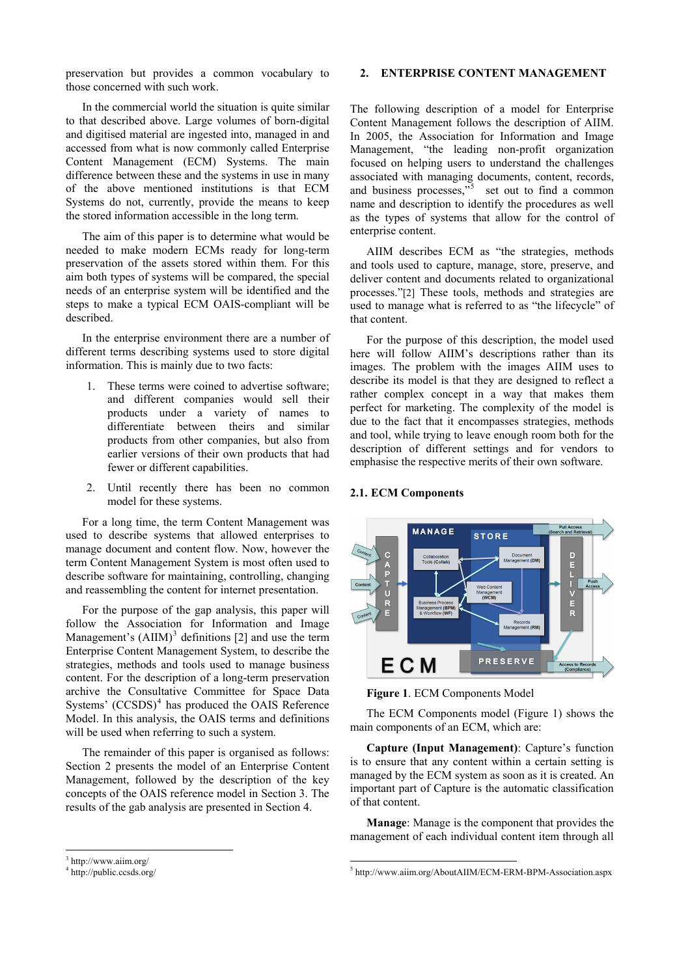preservation but provides a common vocabulary to those concerned with such work.

In the commercial world the situation is quite similar to that described above. Large volumes of born-digital and digitised material are ingested into, managed in and accessed from what is now commonly called Enterprise Content Management (ECM) Systems. The main difference between these and the systems in use in many of the above mentioned institutions is that ECM Systems do not, currently, provide the means to keep the stored information accessible in the long term.

The aim of this paper is to determine what would be needed to make modern ECMs ready for long-term preservation of the assets stored within them. For this aim both types of systems will be compared, the special needs of an enterprise system will be identified and the steps to make a typical ECM OAIS-compliant will be described.

In the enterprise environment there are a number of different terms describing systems used to store digital information. This is mainly due to two facts:

- 1. These terms were coined to advertise software; and different companies would sell their products under a variety of names to differentiate between theirs and similar products from other companies, but also from earlier versions of their own products that had fewer or different capabilities.
- 2. Until recently there has been no common model for these systems.

For a long time, the term Content Management was used to describe systems that allowed enterprises to manage document and content flow. Now, however the term Content Management System is most often used to describe software for maintaining, controlling, changing and reassembling the content for internet presentation.

For the purpose of the gap analysis, this paper will follow the Association for Information and Image Management's  $(AIIM)^3$  definitions [2] and use the term Enterprise Content Management System, to describe the strategies, methods and tools used to manage business content. For the description of a long-term preservation archive the Consultat[iv](#page-1-0)e Commit[tee](#page-7-0) for Space Data Systems'  $(CCSDS)^4$  has produced the OAIS Reference Model. In this analysis, the OAIS terms and definitions will be used when referring to such a system.

The remainder [of](#page-1-1) this paper is organised as follows: Section 2 presents the model of an Enterprise Content Management, followed by the description of the key concepts of the OAIS reference model in Section 3. The results of the gab analysis are presented in Section 4.

#### **2. ENTERPRISE CONTENT MANAGEMENT**

The following description of a model for Enterprise Content Management follows the description of AIIM. In 2005, the Association for Information and Image Management, "the leading non-profit organization focused on helping users to understand the challenges associated with managing documents, content, records, and business processes,  $\frac{1}{5}$  set out to find a common name and description to identify the procedures as well as the types of systems that allow for the control of enterprise content.

AIIM describes EC[M](#page-1-1) as "the strategies, methods and tools used to capture, manage, store, preserve, and deliver content and documents related to organizational processes."[2] These tools, methods and strategies are used to manage what is referred to as "the lifecycle" of that content.

For the purpose of this description, the model used here will [foll](#page-7-0)ow AIIM's descriptions rather than its images. The problem with the images AIIM uses to describe its model is that they are designed to reflect a rather complex concept in a way that makes them perfect for marketing. The complexity of the model is due to the fact that it encompasses strategies, methods and tool, while trying to leave enough room both for the description of different settings and for vendors to emphasise the respective merits of their own software.

#### **2.1. ECM Components**

 $\overline{\phantom{a}}$ 



**Figure 1**. ECM Components Model

The ECM Components model (Figure 1) shows the main components of an ECM, which are:

**Capture (Input Management)**: Capture's function is to ensure that any content within a certain setting is managed by the ECM system as soon as it is created. An important part of Capture is the automatic classification of that content.

**Manage**: Manage is the component that provides the management of each individual content item through all

 $\overline{\phantom{a}}$ 

<sup>3</sup> http://www.aiim.org/

<span id="page-1-1"></span><span id="page-1-0"></span><sup>4</sup> http://public.ccsds.org/

<sup>5</sup> http://www.aiim.org/AboutAIIM/ECM-ERM-BPM-Association.aspx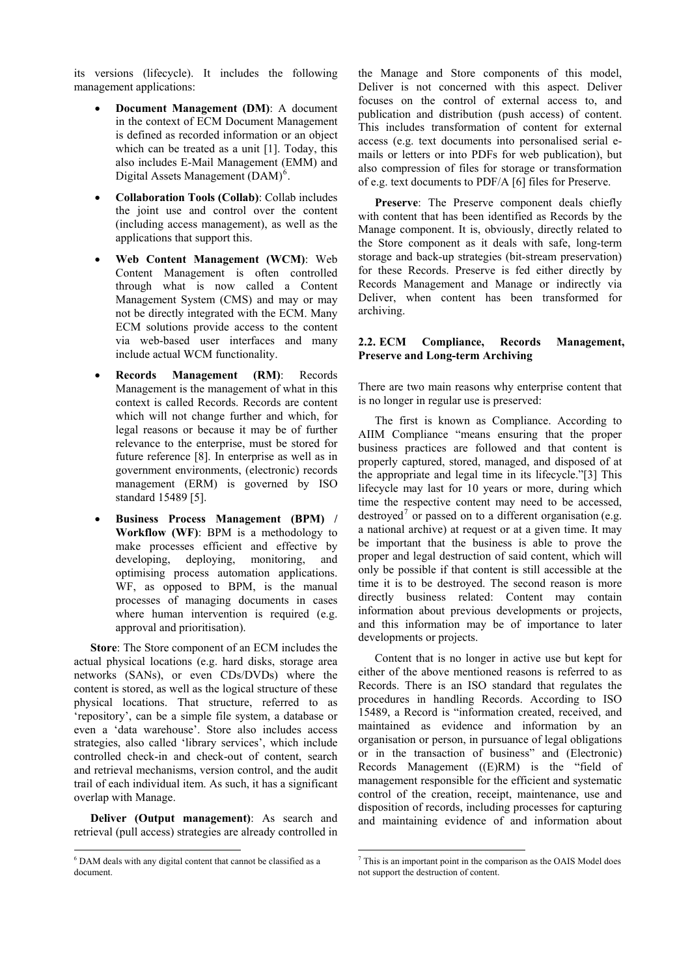its versions (lifecycle). It includes the following management applications:

- **Document Management (DM)**: A document in the context of ECM Document Management is defined as recorded information or an object which can be treated as a unit [1]. Today, this also includes E-Mail Management (EMM) and Digital Assets Management  $(DAM)^6$ .
- **Collaboration Tools (Collab)**: Collab includes the joint use and control over the content (including access management), as [w](#page-2-0)ell as the applications that support this.
- **Web Content Management (WCM)**: Web Content Management is often controlled through what is now called a Content Management System (CMS) and may or may not be directly integrated with the ECM. Many ECM solutions provide access to the content via web-based user interfaces and many include actual WCM functionality.
- **Records Management (RM)**: Records Management is the management of what in this context is called Records. Records are content which will not change further and which, for legal reasons or because it may be of further relevance to the enterprise, must be stored for future reference [8]. In enterprise as well as in government environments, (electronic) records management (ERM) is governed by ISO standard 15489 [5].
- **Business Process Management (BPM) / Workflow (WF)**: BPM is a methodology to make processes efficient and effective by developing, [depl](#page-7-1)oying, monitoring, and optimising process automation applications. WF, as opposed to BPM, is the manual processes of managing documents in cases where human intervention is required (e.g. approval and prioritisation).

**Store**: The Store component of an ECM includes the actual physical locations (e.g. hard disks, storage area networks (SANs), or even CDs/DVDs) where the content is stored, as well as the logical structure of these physical locations. That structure, referred to as 'repository', can be a simple file system, a database or even a 'data warehouse'. Store also includes access strategies, also called 'library services', which include controlled check-in and check-out of content, search and retrieval mechanisms, version control, and the audit trail of each individual item. As such, it has a significant overlap with Manage.

**Deliver (Output management)**: As search and retrieval (pull access) strategies are already controlled in

 $\overline{\phantom{a}}$ 

the Manage and Store components of this model, Deliver is not concerned with this aspect. Deliver focuses on the control of external access to, and publication and distribution (push access) of content. This includes transformation of content for external access (e.g. text documents into personalised serial emails or letters or into PDFs for web publication), but also compression of files for storage or transformation of e.g. text documents to PDF/A [6] files for Preserve.

**Preserve**: The Preserve component deals chiefly with content that has been identified as Records by the Manage component. It is, obviously, directly related to the Store component as it deals with safe, long-term storage and back-up strategies (bit-stream preservation) for these Records. Preserve is fed either directly by Records Management and Manage or indirectly via Deliver, when content has been transformed for archiving.

# **2.2. ECM Compliance, Records Management, Preserve and Long-term Archiving**

There are two main reasons why enterprise content that is no longer in regular use is preserved:

The first is known as Compliance. According to AIIM Compliance "means ensuring that the proper business practices are followed and that content is properly captured, stored, managed, and disposed of at the appropriate and legal time in its lifecycle."[3] This lifecycle may last for 10 years or more, during which time the respective content may need to be accessed, destroyed<sup>7</sup> or passed on to a different organisation (e.g. a national archive) at request or at a given tim[e. It](#page-7-2) may be important that the business is able to prove the proper and legal destruction of said content, which will only be p[o](#page-2-0)ssible if that content is still accessible at the time it is to be destroyed. The second reason is more directly business related: Content may contain information about previous developments or projects, and this information may be of importance to later developments or projects.

Content that is no longer in active use but kept for either of the above mentioned reasons is referred to as Records. There is an ISO standard that regulates the procedures in handling Records. According to ISO 15489, a Record is "information created, received, and maintained as evidence and information by an organisation or person, in pursuance of legal obligations or in the transaction of business" and (Electronic) Records Management ((E)RM) is the "field of management responsible for the efficient and systematic control of the creation, receipt, maintenance, use and disposition of records, including processes for capturing and maintaining evidence of and information about

<span id="page-2-0"></span> $\overline{\text{A}^6}$  DAM deals with any digital content that cannot be classified as a document.

<sup>&</sup>lt;sup>7</sup> This is an important point in the comparison as the OAIS Model does not support the destruction of content.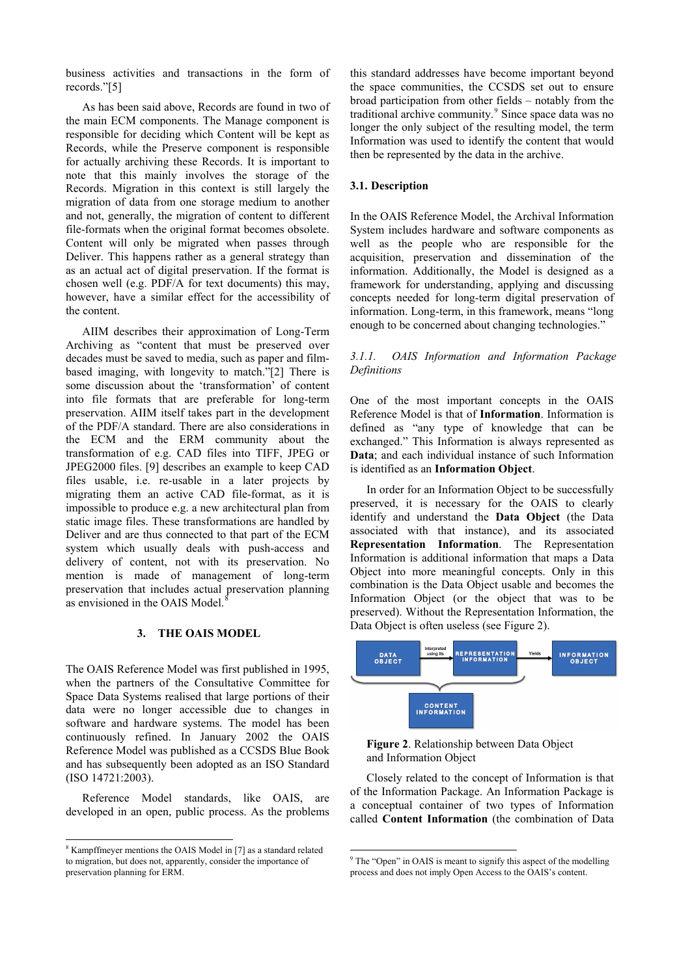business activities and transactions in the form of records."[5]

As has been said above, Records are found in two of the main ECM components. The Manage component is responsible for deciding which Content will be kept as Records, [wh](#page-7-1)ile the Preserve component is responsible for actually archiving these Records. It is important to note that this mainly involves the storage of the Records. Migration in this context is still largely the migration of data from one storage medium to another and not, generally, the migration of content to different file-formats when the original format becomes obsolete. Content will only be migrated when passes through Deliver. This happens rather as a general strategy than as an actual act of digital preservation. If the format is chosen well (e.g. PDF/A for text documents) this may, however, have a similar effect for the accessibility of the content.

AIIM describes their approximation of Long-Term Archiving as "content that must be preserved over decades must be saved to media, such as paper and filmbased imaging, with longevity to match."[2] There is some discussion about the 'transformation' of content into file formats that are preferable for long-term preservation. AIIM itself takes part in the development of the PDF/A standard. There are also con[side](#page-7-0)rations in the ECM and the ERM community about the transformation of e.g. CAD files into TIFF, JPEG or JPEG2000 files. [9] describes an example to keep CAD files usable, i.e. re-usable in a later projects by migrating them an active CAD file-format, as it is impossible to produce e.g. a new architectural plan from static image files[. T](#page-7-3)hese transformations are handled by Deliver and are thus connected to that part of the ECM system which usually deals with push-access and delivery of content, not with its preservation. No mention is made of management of long-term preservation that includes actual preservation planning as envisioned in the OAIS Model.<sup>8</sup>

# **3. THE OAIS MODEL**

The OAIS Reference Model was first published in 1995, when the partners of the Consultative Committee for Space Data Systems realised that large portions of their data were no longer accessible due to changes in software and hardware systems. The model has been continuously refined. In January 2002 the OAIS Reference Model was published as a CCSDS Blue Book and has subsequently been adopted as an ISO Standard (ISO 14721:2003).

Reference Model standards, like OAIS, are developed in an open, public process. As the problems

 $\overline{\phantom{a}}$ 

this standard addresses have become important beyond the space communities, the CCSDS set out to ensure broad participation from other fields – notably from the traditional archive community.<sup>9</sup> Since space data was no longer the only subject of the resulting model, the term Information was used to identify the content that would then be represented by the data in the archive.

#### **3.1. Description**

In the OAIS Reference Model, the Archival Information System includes hardware and software components as well as the people who are responsible for the acquisition, preservation and dissemination of the information. Additionally, the Model is designed as a framework for understanding, applying and discussing concepts needed for long-term digital preservation of information. Long-term, in this framework, means "long enough to be concerned about changing technologies."

# *3.1.1. OAIS Information and Information Package Definitions*

One of the most important concepts in the OAIS Reference Model is that of **Information**. Information is defined as "any type of knowledge that can be exchanged." This Information is always represented as **Data**; and each individual instance of such Information is identified as an **Information Object**.

In order for an Information Object to be successfully preserved, it is necessary for the OAIS to clearly identify and understand the **Data Object** (the Data associated with that instance), and its associated **Representation Information**. The Representation Information is additional information that maps a Data Object into more meaningful concepts. Only in this combination is the Data Object usable and becomes the Information Object (or the object that was to be preserved). Without the Representation Information, the Data Object is often useless (see Figure 2).



**Figure 2**. Relationship between Data Object and Information Object

Closely related to the concept of Information is that of the Information Package. An Information Package is a conceptual container of two types of Information called **Content Information** (the combination of Data

 $\overline{\phantom{a}}$ 

<sup>&</sup>lt;sup>8</sup> Kampffmeyer mentions the OAIS Model in [7] as a standard related to migration, but does not, apparently, consider the importance of preservation planning for ERM.

<sup>&</sup>lt;sup>9</sup> The "Open" in OAIS is meant to signify this aspect of the modelling process and does not imply Open Access to the OAIS's content.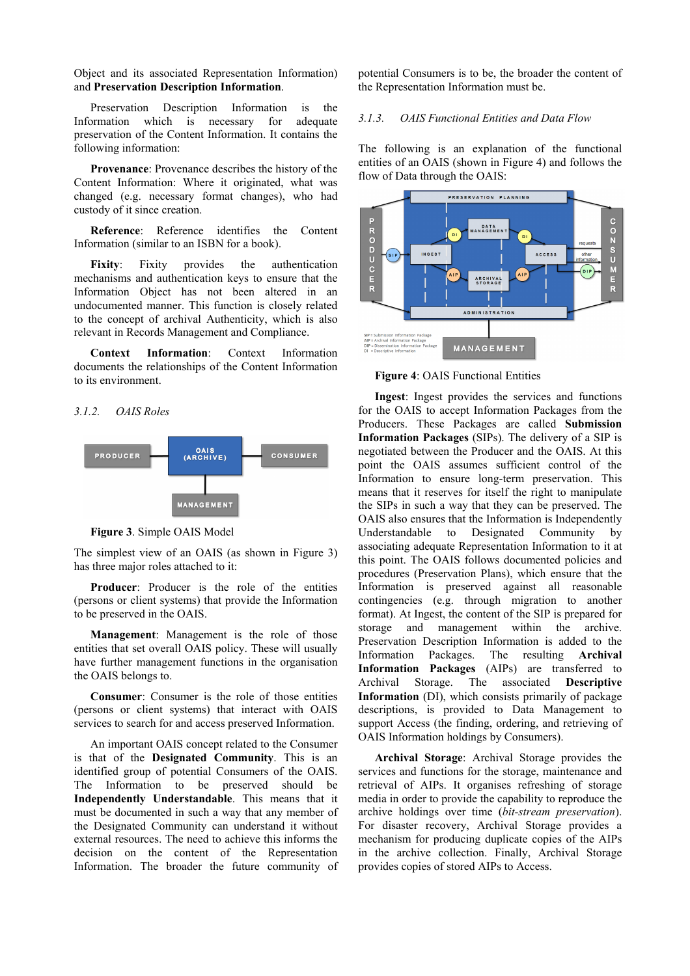Object and its associated Representation Information) and **Preservation Description Information**.

Preservation Description Information is the Information which is necessary for adequate preservation of the Content Information. It contains the following information:

**Provenance**: Provenance describes the history of the Content Information: Where it originated, what was changed (e.g. necessary format changes), who had custody of it since creation.

**Reference**: Reference identifies the Content Information (similar to an ISBN for a book).

**Fixity**: Fixity provides the authentication mechanisms and authentication keys to ensure that the Information Object has not been altered in an undocumented manner. This function is closely related to the concept of archival Authenticity, which is also relevant in Records Management and Compliance.

**Context Information**: Context Information documents the relationships of the Content Information to its environment.

### *3.1.2. OAIS Roles*



**Figure 3**. Simple OAIS Model

The simplest view of an OAIS (as shown in Figure 3) has three major roles attached to it:

**Producer**: Producer is the role of the entities (persons or client systems) that provide the Information to be preserved in the OAIS.

**Management**: Management is the role of those entities that set overall OAIS policy. These will usually have further management functions in the organisation the OAIS belongs to.

**Consumer**: Consumer is the role of those entities (persons or client systems) that interact with OAIS services to search for and access preserved Information.

An important OAIS concept related to the Consumer is that of the **Designated Community**. This is an identified group of potential Consumers of the OAIS. The Information to be preserved should be **Independently Understandable**. This means that it must be documented in such a way that any member of the Designated Community can understand it without external resources. The need to achieve this informs the decision on the content of the Representation Information. The broader the future community of potential Consumers is to be, the broader the content of the Representation Information must be.

# *3.1.3. OAIS Functional Entities and Data Flow*

The following is an explanation of the functional entities of an OAIS (shown in Figure 4) and follows the flow of Data through the OAIS:



**Figure 4**: OAIS Functional Entities

**Ingest**: Ingest provides the services and functions for the OAIS to accept Information Packages from the Producers. These Packages are called **Submission Information Packages** (SIPs). The delivery of a SIP is negotiated between the Producer and the OAIS. At this point the OAIS assumes sufficient control of the Information to ensure long-term preservation. This means that it reserves for itself the right to manipulate the SIPs in such a way that they can be preserved. The OAIS also ensures that the Information is Independently Understandable to Designated Community by associating adequate Representation Information to it at this point. The OAIS follows documented policies and procedures (Preservation Plans), which ensure that the Information is preserved against all reasonable contingencies (e.g. through migration to another format). At Ingest, the content of the SIP is prepared for storage and management within the archive. Preservation Description Information is added to the Information Packages. The resulting **Archival Information Packages** (AIPs) are transferred to Archival Storage. The associated **Descriptive Information** (DI), which consists primarily of package descriptions, is provided to Data Management to support Access (the finding, ordering, and retrieving of OAIS Information holdings by Consumers).

**Archival Storage**: Archival Storage provides the services and functions for the storage, maintenance and retrieval of AIPs. It organises refreshing of storage media in order to provide the capability to reproduce the archive holdings over time (*bit-stream preservation*). For disaster recovery, Archival Storage provides a mechanism for producing duplicate copies of the AIPs in the archive collection. Finally, Archival Storage provides copies of stored AIPs to Access.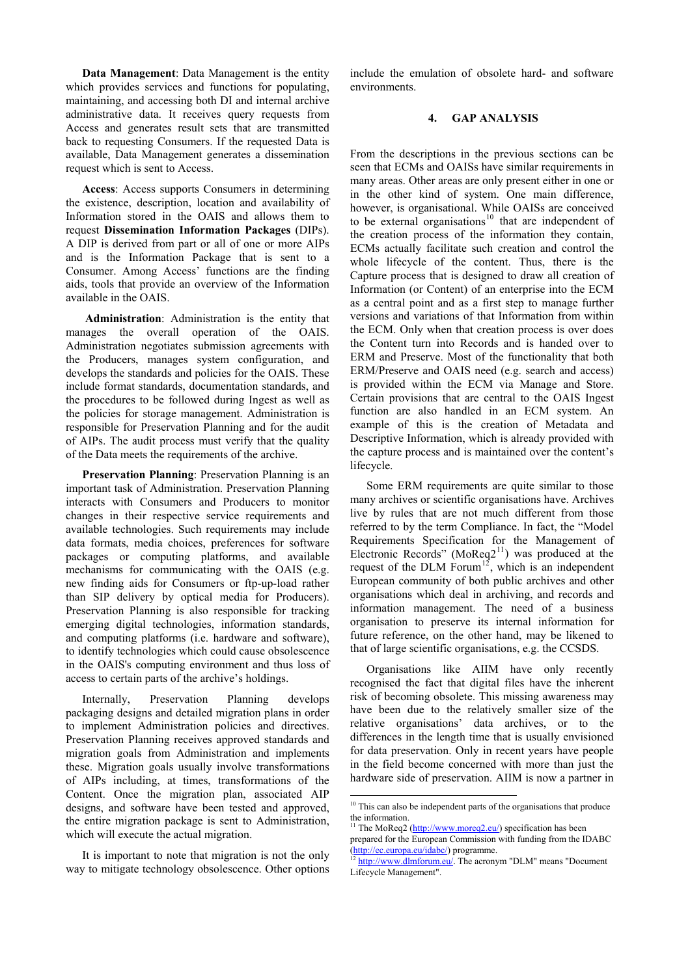**Data Management**: Data Management is the entity which provides services and functions for populating, maintaining, and accessing both DI and internal archive administrative data. It receives query requests from Access and generates result sets that are transmitted back to requesting Consumers. If the requested Data is available, Data Management generates a dissemination request which is sent to Access.

**Access**: Access supports Consumers in determining the existence, description, location and availability of Information stored in the OAIS and allows them to request **Dissemination Information Packages** (DIPs). A DIP is derived from part or all of one or more AIPs and is the Information Package that is sent to a Consumer. Among Access' functions are the finding aids, tools that provide an overview of the Information available in the OAIS.

**Administration**: Administration is the entity that manages the overall operation of the OAIS. Administration negotiates submission agreements with the Producers, manages system configuration, and develops the standards and policies for the OAIS. These include format standards, documentation standards, and the procedures to be followed during Ingest as well as the policies for storage management. Administration is responsible for Preservation Planning and for the audit of AIPs. The audit process must verify that the quality of the Data meets the requirements of the archive.

**Preservation Planning**: Preservation Planning is an important task of Administration. Preservation Planning interacts with Consumers and Producers to monitor changes in their respective service requirements and available technologies. Such requirements may include data formats, media choices, preferences for software packages or computing platforms, and available mechanisms for communicating with the OAIS (e.g. new finding aids for Consumers or ftp-up-load rather than SIP delivery by optical media for Producers). Preservation Planning is also responsible for tracking emerging digital technologies, information standards, and computing platforms (i.e. hardware and software), to identify technologies which could cause obsolescence in the OAIS's computing environment and thus loss of access to certain parts of the archive's holdings.

Internally, Preservation Planning develops packaging designs and detailed migration plans in order to implement Administration policies and directives. Preservation Planning receives approved standards and migration goals from Administration and implements these. Migration goals usually involve transformations of AIPs including, at times, transformations of the Content. Once the migration plan, associated AIP designs, and software have been tested and approved, the entire migration package is sent to Administration, which will execute the actual migration.

<span id="page-5-2"></span><span id="page-5-1"></span><span id="page-5-0"></span>It is important to note that migration is not the only way to mitigate technology obsolescence. Other options include the emulation of obsolete hard- and software environments.

#### **4. GAP ANALYSIS**

From the descriptions in the previous sections can be seen that ECMs and OAISs have similar requirements in many areas. Other areas are only present either in one or in the other kind of system. One main difference, however, is organisational. While OAISs are conceived to be external organisations<sup>10</sup> that are independent of the creation process of the information they contain, ECMs actually facilitate such creation and control the whole lifecycle of the content. Thus, there is the Capture process that is desi[gne](#page-5-0)d to draw all creation of Information (or Content) of an enterprise into the ECM as a central point and as a first step to manage further versions and variations of that Information from within the ECM. Only when that creation process is over does the Content turn into Records and is handed over to ERM and Preserve. Most of the functionality that both ERM/Preserve and OAIS need (e.g. search and access) is provided within the ECM via Manage and Store. Certain provisions that are central to the OAIS Ingest function are also handled in an ECM system. An example of this is the creation of Metadata and Descriptive Information, which is already provided with the capture process and is maintained over the content's lifecycle.

Some ERM requirements are quite similar to those many archives or scientific organisations have. Archives live by rules that are not much different from those referred to by the term Compliance. In fact, the "Model Requirements Specification for the Management of Electronic Records" (MoReq $2^{11}$ ) was produced at the request of the DLM Forum<sup>12</sup>, which is an independent European community of both public archives and other organisations which deal in archiving, and records and information management. T[he](#page-5-1) need of a business organisation to preserve i[ts](#page-5-2) internal information for future reference, on the other hand, may be likened to that of large scientific organisations, e.g. the CCSDS.

Organisations like AIIM have only recently recognised the fact that digital files have the inherent risk of becoming obsolete. This missing awareness may have been due to the relatively smaller size of the relative organisations' data archives, or to the differences in the length time that is usually envisioned for data preservation. Only in recent years have people in the field become concerned with more than just the hardware side of preservation. AIIM is now a partner in

 $\overline{\phantom{a}}$ 

<sup>&</sup>lt;sup>10</sup> This can also be independent parts of the organisations that produce the information.

<sup>&</sup>lt;sup>11</sup> The MoReq2  $(\frac{http://www.moreq2.eu/})$  specification has been prepared for the European Commission with funding from the IDABC

<sup>(</sup>http://ec.europa.eu/idabc/) programme.<br><sup>12</sup> http://www.dlmforum.eu/. The acronym "DLM" means "Document Lifecycle Management".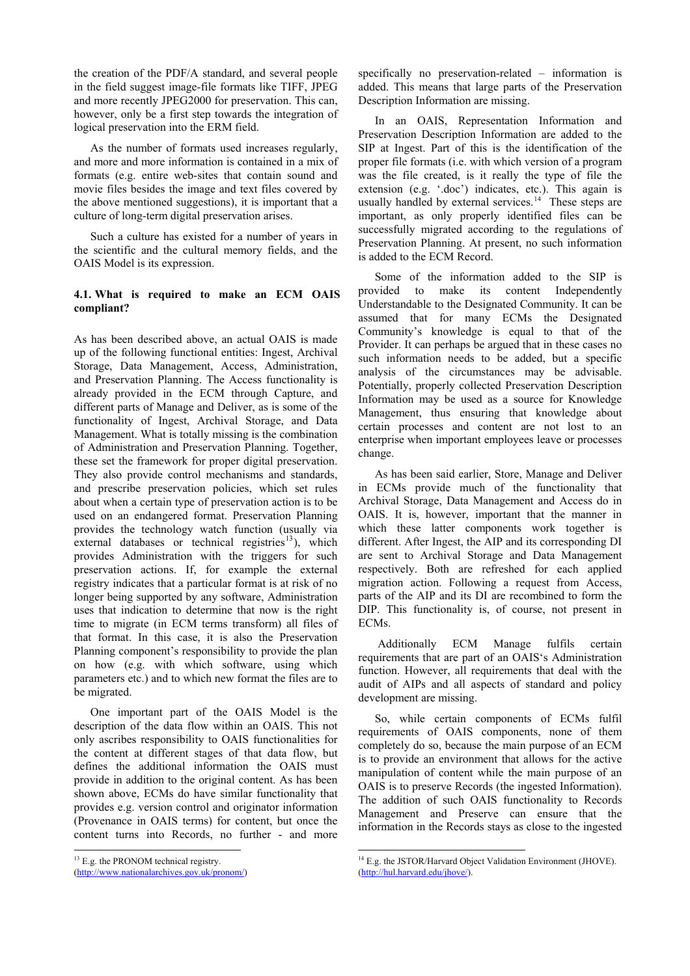the creation of the PDF/A standard, and several people in the field suggest image-file formats like TIFF, JPEG and more recently JPEG2000 for preservation. This can, however, only be a first step towards the integration of logical preservation into the ERM field.

As the number of formats used increases regularly, and more and more information is contained in a mix of formats (e.g. entire web-sites that contain sound and movie files besides the image and text files covered by the above mentioned suggestions), it is important that a culture of long-term digital preservation arises.

Such a culture has existed for a number of years in the scientific and the cultural memory fields, and the OAIS Model is its expression.

# **4.1. What is required to make an ECM OAIS compliant?**

As has been described above, an actual OAIS is made up of the following functional entities: Ingest, Archival Storage, Data Management, Access, Administration, and Preservation Planning. The Access functionality is already provided in the ECM through Capture, and different parts of Manage and Deliver, as is some of the functionality of Ingest, Archival Storage, and Data Management. What is totally missing is the combination of Administration and Preservation Planning. Together, these set the framework for proper digital preservation. They also provide control mechanisms and standards, and prescribe preservation policies, which set rules about when a certain type of preservation action is to be used on an endangered format. Preservation Planning provides the technology watch function (usually via external databases or technical registries<sup>13</sup>), which provides Administration with the triggers for such preservation actions. If, for example the external registry indicates that a particular format is at risk of no longer being supported by any software, Ad[mi](#page-6-0)nistration uses that indication to determine that now is the right time to migrate (in ECM terms transform) all files of that format. In this case, it is also the Preservation Planning component's responsibility to provide the plan on how (e.g. with which software, using which parameters etc.) and to which new format the files are to be migrated.

One important part of the OAIS Model is the description of the data flow within an OAIS. This not only ascribes responsibility to OAIS functionalities for the content at different stages of that data flow, but defines the additional information the OAIS must provide in addition to the original content. As has been shown above, ECMs do have similar functionality that provides e.g. version control and originator information (Provenance in OAIS terms) for content, but once the content turns into Records, no further - and more

 $\overline{\phantom{a}}$ 

specifically no preservation-related – information is added. This means that large parts of the Preservation Description Information are missing.

In an OAIS, Representation Information and Preservation Description Information are added to the SIP at Ingest. Part of this is the identification of the proper file formats (i.e. with which version of a program was the file created, is it really the type of file the extension (e.g. '.doc') indicates, etc.). This again is usually handled by external services. $14$  These steps are important, as only properly identified files can be successfully migrated according to the regulations of Preservation Planning. At present, no such information is added to the ECM Record.

Some of the information added to the SIP is provided to make its content Independently Understandable to the Designated Community. It can be assumed that for many ECMs the Designated Community's knowledge is equal to that of the Provider. It can perhaps be argued that in these cases no such information needs to be added, but a specific analysis of the circumstances may be advisable. Potentially, properly collected Preservation Description Information may be used as a source for Knowledge Management, thus ensuring that knowledge about certain processes and content are not lost to an enterprise when important employees leave or processes change.

As has been said earlier, Store, Manage and Deliver in ECMs provide much of the functionality that Archival Storage, Data Management and Access do in OAIS. It is, however, important that the manner in which these latter components work together is different. After Ingest, the AIP and its corresponding DI are sent to Archival Storage and Data Management respectively. Both are refreshed for each applied migration action. Following a request from Access, parts of the AIP and its DI are recombined to form the DIP. This functionality is, of course, not present in ECMs.

 Additionally ECM Manage fulfils certain requirements that are part of an OAIS's Administration function. However, all requirements that deal with the audit of AIPs and all aspects of standard and policy development are missing.

So, while certain components of ECMs fulfil requirements of OAIS components, none of them completely do so, because the main purpose of an ECM is to provide an environment that allows for the active manipulation of content while the main purpose of an OAIS is to preserve Records (the ingested Information). The addition of such OAIS functionality to Records Management and Preserve can ensure that the information in the Records stays as close to the ingested

<sup>&</sup>lt;sup>13</sup> E.g. the PRONOM technical registry.

<span id="page-6-0"></span><sup>(</sup>http://www.nationalarchives.gov.uk/pronom/)

 $\overline{\phantom{a}}$ <sup>14</sup> E.g. the JSTOR/Harvard Object Validation Environment (JHOVE). (http://hul.harvard.edu/jhove/).